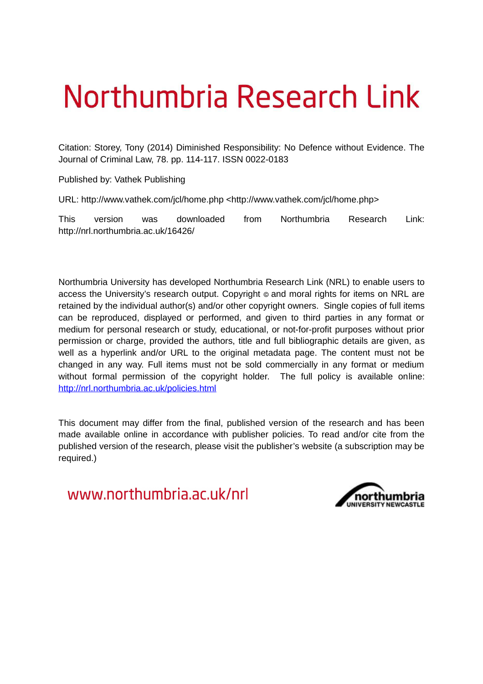# Northumbria Research Link

Citation: Storey, Tony (2014) Diminished Responsibility: No Defence without Evidence. The Journal of Criminal Law, 78. pp. 114-117. ISSN 0022-0183

Published by: Vathek Publishing

URL: http://www.vathek.com/jcl/home.php <http://www.vathek.com/jcl/home.php>

This version was downloaded from Northumbria Research Link: http://nrl.northumbria.ac.uk/16426/

Northumbria University has developed Northumbria Research Link (NRL) to enable users to access the University's research output. Copyright © and moral rights for items on NRL are retained by the individual author(s) and/or other copyright owners. Single copies of full items can be reproduced, displayed or performed, and given to third parties in any format or medium for personal research or study, educational, or not-for-profit purposes without prior permission or charge, provided the authors, title and full bibliographic details are given, as well as a hyperlink and/or URL to the original metadata page. The content must not be changed in any way. Full items must not be sold commercially in any format or medium without formal permission of the copyright holder. The full policy is available online: <http://nrl.northumbria.ac.uk/policies.html>

This document may differ from the final, published version of the research and has been made available online in accordance with publisher policies. To read and/or cite from the published version of the research, please visit the publisher's website (a subscription may be required.)

www.northumbria.ac.uk/nrl

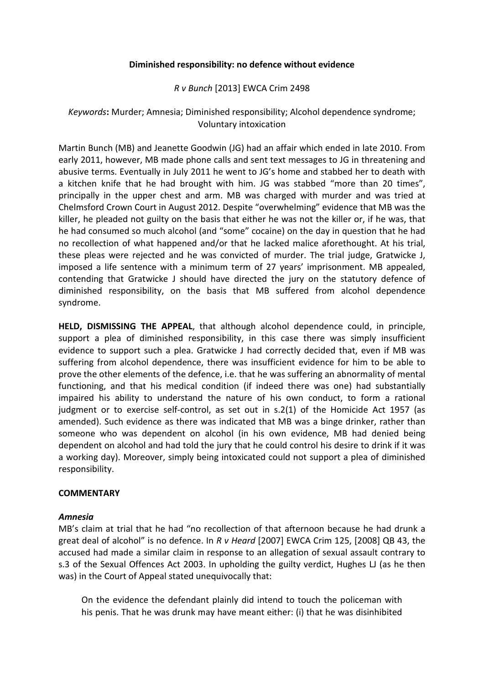## **Diminished responsibility: no defence without evidence**

## *R v Bunch* [2013] EWCA Crim 2498

# *Keywords***:** Murder; Amnesia; Diminished responsibility; Alcohol dependence syndrome; Voluntary intoxication

Martin Bunch (MB) and Jeanette Goodwin (JG) had an affair which ended in late 2010. From early 2011, however, MB made phone calls and sent text messages to JG in threatening and abusive terms. Eventually in July 2011 he went to JG's home and stabbed her to death with a kitchen knife that he had brought with him. JG was stabbed "more than 20 times", principally in the upper chest and arm. MB was charged with murder and was tried at Chelmsford Crown Court in August 2012. Despite "overwhelming" evidence that MB was the killer, he pleaded not guilty on the basis that either he was not the killer or, if he was, that he had consumed so much alcohol (and "some" cocaine) on the day in question that he had no recollection of what happened and/or that he lacked malice aforethought. At his trial, these pleas were rejected and he was convicted of murder. The trial judge, Gratwicke J, imposed a life sentence with a minimum term of 27 years' imprisonment. MB appealed, contending that Gratwicke J should have directed the jury on the statutory defence of diminished responsibility, on the basis that MB suffered from alcohol dependence syndrome.

**HELD, DISMISSING THE APPEAL**, that although alcohol dependence could, in principle, support a plea of diminished responsibility, in this case there was simply insufficient evidence to support such a plea. Gratwicke J had correctly decided that, even if MB was suffering from alcohol dependence, there was insufficient evidence for him to be able to prove the other elements of the defence, i.e. that he was suffering an abnormality of mental functioning, and that his medical condition (if indeed there was one) had substantially impaired his ability to understand the nature of his own conduct, to form a rational judgment or to exercise self-control, as set out in s.2(1) of the Homicide Act 1957 (as amended). Such evidence as there was indicated that MB was a binge drinker, rather than someone who was dependent on alcohol (in his own evidence, MB had denied being dependent on alcohol and had told the jury that he could control his desire to drink if it was a working day). Moreover, simply being intoxicated could not support a plea of diminished responsibility.

#### **COMMENTARY**

#### *Amnesia*

MB's claim at trial that he had "no recollection of that afternoon because he had drunk a great deal of alcohol" is no defence. In *R v Heard* [2007] EWCA Crim 125, [2008] QB 43, the accused had made a similar claim in response to an allegation of sexual assault contrary to s.3 of the Sexual Offences Act 2003. In upholding the guilty verdict, Hughes LJ (as he then was) in the Court of Appeal stated unequivocally that:

On the evidence the defendant plainly did intend to touch the policeman with his penis. That he was drunk may have meant either: (i) that he was disinhibited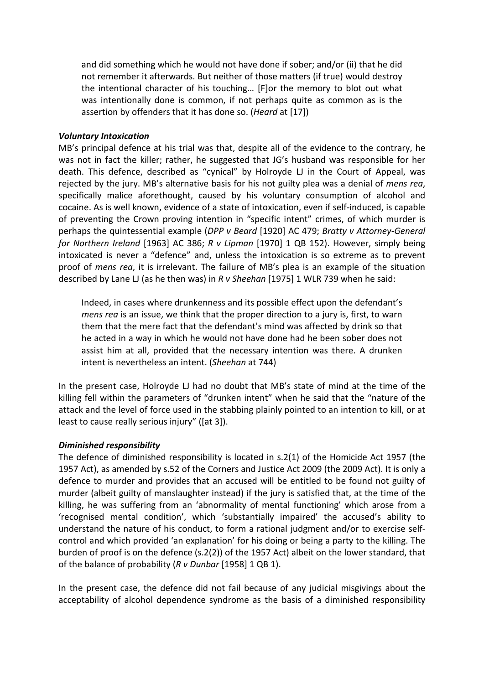and did something which he would not have done if sober; and/or (ii) that he did not remember it afterwards. But neither of those matters (if true) would destroy the intentional character of his touching… [F]or the memory to blot out what was intentionally done is common, if not perhaps quite as common as is the assertion by offenders that it has done so. (*Heard* at [17])

#### *Voluntary Intoxication*

MB's principal defence at his trial was that, despite all of the evidence to the contrary, he was not in fact the killer; rather, he suggested that JG's husband was responsible for her death. This defence, described as "cynical" by Holroyde LJ in the Court of Appeal, was rejected by the jury. MB's alternative basis for his not guilty plea was a denial of *mens rea*, specifically malice aforethought, caused by his voluntary consumption of alcohol and cocaine. As is well known, evidence of a state of intoxication, even if self-induced, is capable of preventing the Crown proving intention in "specific intent" crimes, of which murder is perhaps the quintessential example (*[DPP v Beard](http://uk.westlaw.com/Find/Default.wl?DB=4651&SerialNum=1920020271&FindType=g&AP=&fn=_top&rs=WLUK7.01&mt=WestlawUK&vr=2.0&sv=Split&sp=ukatunn-000&RLT=CLID_FQRLT501319122&TF=756&TC=1&n=1)* [1920] AC 479; *[Bratty v Attorney-General](http://uk.westlaw.com/find/default.wl?spa=ukatunn-000&rs=WLUK7.01&fn=_top&sv=Split&cite=%5b1963%5d+AC+386&vr=2.0&rp=%2ffind%2fdefault.wl&mt=WestlawUK)  [for Northern Ireland](http://uk.westlaw.com/find/default.wl?spa=ukatunn-000&rs=WLUK7.01&fn=_top&sv=Split&cite=%5b1963%5d+AC+386&vr=2.0&rp=%2ffind%2fdefault.wl&mt=WestlawUK)* [1963] AC 386; *[R v Lipman](http://uk.westlaw.com/Find/Default.wl?DB=3898&SerialNum=1969019521&FindType=g&AP=&fn=_top&rs=WLUK7.01&mt=WestlawUK&vr=2.0&sv=Split&sp=ukatunn-000&RLT=CLID_FQRLT03918122&TF=756&TC=1&n=1)* [1970] 1 QB 152). However, simply being intoxicated is never a "defence" and, unless the intoxication is so extreme as to prevent proof of *mens rea*, it is irrelevant. The failure of MB's plea is an example of the situation described by Lane LJ (as he then was) in *[R v Sheehan](http://login.westlaw.co.uk/app/document?src=doc&linktype=ref&&context=4&crumb-action=replace&docguid=I698BDF10E42811DA8FC2A0F0355337E9)* [1975] 1 WLR 739 when he said:

Indeed, in cases where drunkenness and its possible effect upon the defendant's *mens rea* is an issue, we think that the proper direction to a jury is, first, to warn them that the mere fact that the defendant's mind was affected by drink so that he acted in a way in which he would not have done had he been sober does not assist him at all, provided that the necessary intention was there. A drunken intent is nevertheless an intent. (*Sheehan* at 744)

In the present case, Holroyde LJ had no doubt that MB's state of mind at the time of the killing fell within the parameters of "drunken intent" when he said that the "nature of the attack and the level of force used in the stabbing plainly pointed to an intention to kill, or at least to cause really serious injury" ([at 3]).

#### *Diminished responsibility*

The defence of diminished responsibility is located in s.2(1) of the Homicide Act 1957 (the 1957 Act), as amended by s.52 of the Corners and Justice Act 2009 (the 2009 Act). It is only a defence to murder and provides that an accused will be entitled to be found not guilty of murder (albeit guilty of manslaughter instead) if the jury is satisfied that, at the time of the killing, he was suffering from an 'abnormality of mental functioning' which arose from a 'recognised mental condition', which 'substantially impaired' the accused's ability to understand the nature of his conduct, to form a rational judgment and/or to exercise selfcontrol and which provided 'an explanation' for his doing or being a party to the killing. The burden of proof is on the defence (s.2(2)) of the 1957 Act) albeit on the lower standard, that of the balance of probability (*R v Dunbar* [1958] 1 QB 1).

In the present case, the defence did not fail because of any judicial misgivings about the acceptability of alcohol dependence syndrome as the basis of a diminished responsibility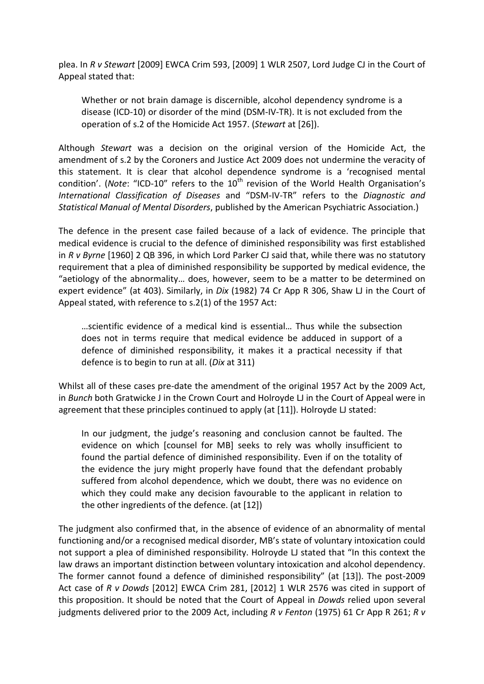plea. In *R v Stewart* [2009] EWCA Crim 593, [2009] 1 WLR 2507, Lord Judge CJ in the Court of Appeal stated that:

Whether or not brain damage is discernible, alcohol dependency syndrome is a disease (ICD-10) or disorder of the mind (DSM-IV-TR). It is not excluded from the operation of s.2 of the Homicide Act 1957. (*Stewart* at [26]).

Although *Stewart* was a decision on the original version of the Homicide Act, the amendment of s.2 by the Coroners and Justice Act 2009 does not undermine the veracity of this statement. It is clear that alcohol dependence syndrome is a 'recognised mental condition'. (*Note*: "ICD-10" refers to the 10<sup>th</sup> revision of the World Health Organisation's *International Classification of Diseases* and "DSM-IV-TR" refers to the *Diagnostic and Statistical Manual of Mental Disorders*, published by the American Psychiatric Association.)

The defence in the present case failed because of a lack of evidence. The principle that medical evidence is crucial to the defence of diminished responsibility was first established in *R v Byrne* [1960] 2 QB 396, in which Lord Parker CJ said that, while there was no statutory requirement that a plea of diminished responsibility be supported by medical evidence, the "aetiology of the abnormality… does, however, seem to be a matter to be determined on expert evidence" (at 403). Similarly, in *Dix* (1982) 74 Cr App R 306, Shaw LJ in the Court of Appeal stated, with reference to s.2(1) of the 1957 Act:

…scientific evidence of a medical kind is essential… Thus while the subsection does not in terms require that medical evidence be adduced in support of a defence of diminished responsibility, it makes it a practical necessity if that defence is to begin to run at all. (*Dix* at 311)

Whilst all of these cases pre-date the amendment of the original 1957 Act by the 2009 Act, in *Bunch* both Gratwicke J in the Crown Court and Holroyde LJ in the Court of Appeal were in agreement that these principles continued to apply (at [11]). Holroyde LJ stated:

In our judgment, the judge's reasoning and conclusion cannot be faulted. The evidence on which [counsel for MB] seeks to rely was wholly insufficient to found the partial defence of diminished responsibility. Even if on the totality of the evidence the jury might properly have found that the defendant probably suffered from alcohol dependence, which we doubt, there was no evidence on which they could make any decision favourable to the applicant in relation to the other ingredients of the defence. (at [12])

The judgment also confirmed that, in the absence of evidence of an abnormality of mental functioning and/or a recognised medical disorder, MB's state of voluntary intoxication could not support a plea of diminished responsibility. Holroyde LJ stated that "In this context the law draws an important distinction between voluntary intoxication and alcohol dependency. The former cannot found a defence of diminished responsibility" (at [13]). The post-2009 Act case of *R v Dowds* [2012] EWCA Crim 281, [2012] 1 WLR 2576 was cited in support of this proposition. It should be noted that the Court of Appeal in *Dowds* relied upon several judgments delivered prior to the 2009 Act, including *R v Fenton* (1975) 61 Cr App R 261; *R v*